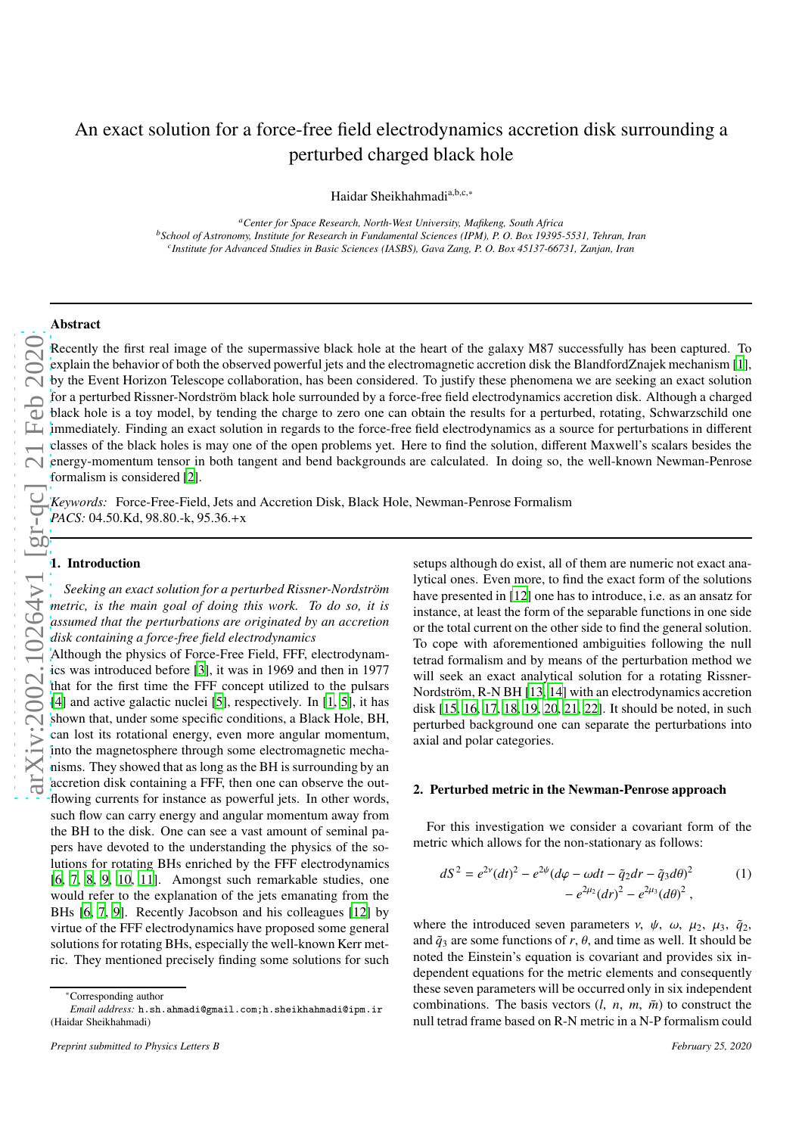# An exact solution for a force-free field electrodynamics accretion disk surrounding a perturbed charged black hole

Haidar Sheikhahmadi<sup>a,b,c,∗</sup>

*<sup>a</sup>Center for Space Research, North-West University, Mafikeng, South Africa <sup>b</sup>School of Astronomy, Institute for Research in Fundamental Sciences (IPM), P. O. Box 19395-5531, Tehran, Iran c Institute for Advanced Studies in Basic Sciences (IASBS), Gava Zang, P. O. Box 45137-66731, Zanjan, Iran*

## Abstract

[arXiv:2002.10264v1 \[gr-qc\] 21 Feb 2020](http://arxiv.org/abs/2002.10264v1) 21 Feb 2020

Recently the first real image of the supermassive black hole at the heart of the galaxy M87 successfully has been captured. To explain the behavior of both the observed powerful jets and the electromagnetic accretion disk the BlandfordZnajek mechanism [\[1\]](#page-3-0), by the Event Horizon Telescope collaboration, has been considered. To justify these phenomena we are seeking an exact solution for a perturbed Rissner-Nordström black hole surrounded by a force-free field electrodynamics accretion disk. Although a charged black hole is a toy model, by tending the charge to zero one can obtain the results for a perturbed, rotating, Schwarzschild one immediately. Finding an exact solution in regards to the force-free field electrodynamics as a source for perturbations in di fferent classes of the black holes is may one of the open problems yet. Here to find the solution, di fferent Maxwell's scalars besides the energy-momentum tensor in both tangent and bend backgrounds are calculated. In doing so, the well-known Newman-Penros e formalism is considered [\[2](#page-3-1)].

*Keywords:* Force-Free-Field, Jets and Accretion Disk, Black Hole, Newman-Penrose Formalism PACS: 04.50.Kd, 98.80.-k, 95.36.+x

## 1. Introduction

Seeking an exact solution for a perturbed Rissner-Nordström *metric, is the main goal of doing this work. To do so, it is assumed that the perturbations are originated by an accretion disk containing a force-free field electrodynamics*

Although the physics of Force-Free Field, FFF, electrodynamics was introduced before [\[3\]](#page-3-2), it was in 1969 and then in 1977 that for the first time the FFF concept utilized to the pulsars [\[4\]](#page-3-3) and active galactic nuclei [\[5](#page-3-4)], respectively. In [\[1,](#page-3-0) [5](#page-3-4)], it has shown that, under some specific conditions, a Black Hole, BH, can lost its rotational energy, even more angular momentum, into the magnetosphere through some electromagnetic mecha nisms. They showed that as long as the BH is surrounding by an accretion disk containing a FFF, then one can observe the out flowing currents for instance as powerful jets. In other words, such flow can carry energy and angular momentum away from the BH to the disk. One can see a vast amount of seminal papers have devoted to the understanding the physics of the solutions for rotating BHs enriched by the FFF electrodynamics [\[6,](#page-3-5) [7,](#page-3-6) [8](#page-3-7), [9,](#page-3-8) [10](#page-3-9), [11\]](#page-3-10). Amongst such remarkable studies, one would refer to the explanation of the jets emanating from the BHs [\[6](#page-3-5), [7](#page-3-6), [9](#page-3-8)]. Recently Jacobson and his colleagues [\[12\]](#page-3-11) by virtue of the FFF electrodynamics have proposed some genera l solutions for rotating BHs, especially the well-known Kerr metric. They mentioned precisely finding some solutions for such

setups although do exist, all of them are numeric not exact analytical ones. Even more, to find the exact form of the solutions have presented in [\[12](#page-3-11)] one has to introduce, i.e. as an ansatz for instance, at least the form of the separable functions in one side or the total current on the other side to find the general solution. To cope with aforementioned ambiguities following the null tetrad formalism and by means of the perturbation method we will seek an exact analytical solution for a rotating Rissner-Nordström, R-N BH [\[13,](#page-3-12) [14](#page-3-13)] with an electrodynamics accretion disk [15, 16, 17, 18, 19, 20, 21, 22]. It should be noted, in suc h perturbed background one can separate the perturbations into axial and polar categories.

### 2. Perturbed metric in the Newman-Penrose approach

For this investigation we consider a covariant form of the metric which allows for the non-stationary as follows:

<span id="page-0-0"></span>
$$
dS^{2} = e^{2\nu} (dt)^{2} - e^{2\psi} (d\varphi - \omega dt - \tilde{q}_{2} dr - \tilde{q}_{3} d\theta)^{2}
$$
 (1)  
- 
$$
e^{2\mu_{2}} (dr)^{2} - e^{2\mu_{3}} (d\theta)^{2},
$$

where the introduced seven parameters  $v$ ,  $\psi$ ,  $\omega$ ,  $\mu_2$ ,  $\mu_3$ ,  $\tilde{q}_2$ , and  $\tilde{q}_3$  are some functions of r,  $\theta$ , and time as well. It should be noted the Einstein's equation is covariant and provides six independent equations for the metric elements and consequently these seven parameters will be occurred only in six independent combinations. The basis vectors  $(l, n, m, \overline{m})$  to construct the null tetrad frame based on R-N metric in a N-P formalism could

<sup>∗</sup>Corresponding author

*Email address:* h.sh.ahmadi@gmail.com;h.sheikhahmadi@ipm.ir (Haidar Sheikhahmadi)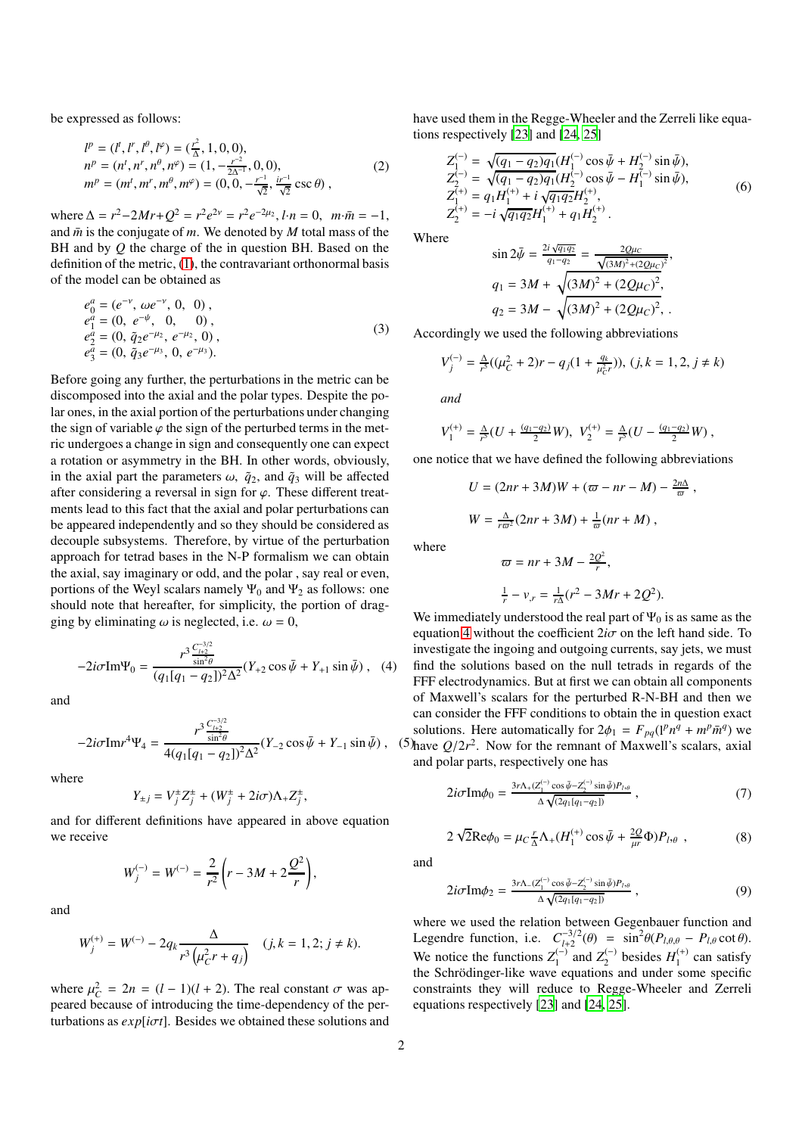be expressed as follows:

$$
l^{p} = (l^{t}, l^{r}, l^{\theta}, l^{\varphi}) = (\frac{r^{2}}{\Delta}, 1, 0, 0),
$$
  
\n
$$
n^{p} = (n^{t}, n^{r}, n^{\theta}, n^{\varphi}) = (1, -\frac{r^{-2}}{2\Delta^{-1}}, 0, 0),
$$
  
\n
$$
m^{p} = (m^{t}, m^{r}, m^{\theta}, m^{\varphi}) = (0, 0, -\frac{r^{-1}}{\sqrt{2}}, \frac{ir^{-1}}{\sqrt{2}} \csc \theta),
$$
\n(2)

where  $\Delta = r^2 - 2Mr + Q^2 = r^2e^{2v} = r^2e^{-2\mu_2}, l \cdot n = 0, \quad m \cdot \bar{m} = -1,$ and  $\bar{m}$  is the conjugate of  $m$ . We denoted by  $M$  total mass of the BH and by *Q* the charge of the in question BH. Based on the definition of the metric, [\(1\)](#page-0-0), the contravariant orthonormal basis of the model can be obtained as

<span id="page-1-1"></span>
$$
e_1^a = (e^{-\nu}, \omega e^{-\nu}, 0, 0),
$$
  
\n
$$
e_1^a = (0, e^{-\psi}, 0, 0),
$$
  
\n
$$
e_2^a = (0, \tilde{q}_2 e^{-\mu_2}, e^{-\mu_2}, 0),
$$
  
\n
$$
e_3^a = (0, \tilde{q}_3 e^{-\mu_3}, 0, e^{-\mu_3}).
$$
\n(3)

Before going any further, the perturbations in the metric can be discomposed into the axial and the polar types. Despite the polar ones, in the axial portion of the perturbations under changing the sign of variable  $\varphi$  the sign of the perturbed terms in the metric undergoes a change in sign and consequently one can expect a rotation or asymmetry in the BH. In other words, obviously, in the axial part the parameters  $\omega$ ,  $\tilde{q}_2$ , and  $\tilde{q}_3$  will be affected after considering a reversal in sign for  $\varphi$ . These different treatments lead to this fact that the axial and polar perturbations can be appeared independently and so they should be considered as decouple subsystems. Therefore, by virtue of the perturbation approach for tetrad bases in the N-P formalism we can obtain the axial, say imaginary or odd, and the polar , say real or even, portions of the Weyl scalars namely  $\Psi_0$  and  $\Psi_2$  as follows: one should note that hereafter, for simplicity, the portion of dragging by eliminating  $\omega$  is neglected, i.e.  $\omega = 0$ ,

<span id="page-1-0"></span>
$$
-2i\sigma \text{Im}\Psi_0 = \frac{r^3 \frac{C_{12}^{-3/2}}{\sin^2 \theta}}{(q_1[q_1 - q_2])^2 \Delta^2} (Y_{+2} \cos \bar{\psi} + Y_{+1} \sin \bar{\psi}) , \quad (4)
$$

and

$$
-2i\sigma\text{Im}r^{4}\Psi_{4} = \frac{r^{3}\frac{C_{H2}^{-3/2}}{\sin^{2}\theta}}{4(q_{1}[q_{1}-q_{2}])^{2}\Delta^{2}}(Y_{-2}\cos\bar{\psi} + Y_{-1}\sin\bar{\psi}), \quad (5)
$$

where

$$
Y_{\pm j}=V_j^{\pm}Z_j^{\pm}+(W_j^{\pm}+2i\sigma)\Lambda_+Z_j^{\pm},
$$

and for different definitions have appeared in above equation we receive

$$
W_j^{(-)} = W^{(-)} = \frac{2}{r^2} \left( r - 3M + 2 \frac{Q^2}{r} \right),
$$

and

$$
W_j^{(+)} = W^{(-)} - 2q_k \frac{\Delta}{r^3 \left(\mu_C^2 r + q_j\right)} \quad (j, k = 1, 2; j \neq k).
$$

where  $\mu_C^2 = 2n = (l - 1)(l + 2)$ . The real constant  $\sigma$  was appeared because of introducing the time-dependency of the perturbations as *exp*[*i*σ*t*]. Besides we obtained these solutions and have used them in the Regge-Wheeler and the Zerreli like equations respectively [\[23](#page-3-14)] and [\[24,](#page-3-15) [25\]](#page-3-16)

<span id="page-1-2"></span>
$$
Z_{1}^{(-)} = \sqrt{(q_{1} - q_{2})q_{1}}(H_{1}^{(-)} \cos \bar{\psi} + H_{2}^{(-)} \sin \bar{\psi}),
$$
  
\n
$$
Z_{2}^{(-)} = \sqrt{(q_{1} - q_{2})q_{1}}(H_{2}^{(-)} \cos \bar{\psi} - H_{1}^{(-)} \sin \bar{\psi}),
$$
  
\n
$$
Z_{1}^{(+)} = q_{1}H_{1}^{(+)} + i\sqrt{q_{1}q_{2}}H_{2}^{(+)},
$$
  
\n
$$
Z_{2}^{(+)} = -i\sqrt{q_{1}q_{2}}H_{1}^{(+)} + q_{1}H_{2}^{(+)}.
$$
\n(6)

Where

$$
\sin 2\bar{\psi} = \frac{2i\sqrt{q_1 q_2}}{q_1 - q_2} = \frac{2Q\mu_C}{\sqrt{(3M)^2 + (2Q\mu_C)^2}},
$$
  
\n
$$
q_1 = 3M + \sqrt{(3M)^2 + (2Q\mu_C)^2},
$$
  
\n
$$
q_2 = 3M - \sqrt{(3M)^2 + (2Q\mu_C)^2},.
$$

Accordingly we used the following abbreviations

$$
V_j^{(-)} = \frac{\Delta}{r^5}((\mu_C^2 + 2)r - q_j(1 + \frac{q_k}{\mu_{C}^2})), (j, k = 1, 2, j \neq k)
$$

*and*

$$
V_1^{(+)} = \frac{A}{r^5}(U + \frac{(q_1 - q_2)}{2}W), \ V_2^{(+)} = \frac{A}{r^5}(U - \frac{(q_1 - q_2)}{2}W),
$$

one notice that we have defined the following abbreviations

$$
U = (2nr + 3M)W + (\varpi - nr - M) - \frac{2n\Delta}{\varpi}
$$

$$
W = \frac{\Delta}{r\varpi^2}(2nr + 3M) + \frac{1}{\varpi}(nr + M),
$$

,

where

$$
\begin{aligned} \n\varpi &= nr + 3M - \frac{2Q^2}{r}, \\ \n\frac{1}{r} - v_{,r} &= \frac{1}{r\Delta}(r^2 - 3Mr + 2Q^2). \n\end{aligned}
$$

We immediately understood the real part of  $\Psi_0$  is as same as the equation [4](#page-1-0) without the coefficient  $2i\sigma$  on the left hand side. To investigate the ingoing and outgoing currents, say jets, we must find the solutions based on the null tetrads in regards of the FFF electrodynamics. But at first we can obtain all components of Maxwell's scalars for the perturbed R-N-BH and then we can consider the FFF conditions to obtain the in question exact solutions. Here automatically for  $2\phi_1 = F_{pq}(1^p n^q + m^p \bar{m}^q)$  we have  $Q/2r^2$ . Now for the remnant of Maxwell's scalars, axial and polar parts, respectively one has

$$
2i\sigma \text{Im}\phi_0 = \frac{3r\Lambda_+(Z_1^{(-)}\cos\bar{\psi} - Z_2^{(-)}\sin\bar{\psi})P_{I,\theta}}{\Delta\sqrt{(2q_1[q_1 - q_2])}} , \qquad (7)
$$

$$
2\sqrt{2}\text{Re}\phi_0 = \mu_c \frac{r}{\Delta} \Lambda_+(H_1^{(+)}\cos\bar{\psi} + \frac{2Q}{\mu r}\Phi)P_{l,\theta} ,\qquad (8)
$$

and

$$
2i\sigma \text{Im}\phi_2 = \frac{3r\Lambda_-(Z_1^{(-)}\cos\bar{\psi} - Z_2^{(-)}\sin\bar{\psi})P_{I,\theta}}{\Delta\sqrt{(2q_1[q_1 - q_2])}} , \qquad (9)
$$

where we used the relation between Gegenbauer function and Legendre function, i.e.  $C_{l+2}^{-3/2}(\theta) = \sin^2\theta(P_{l,\theta,\theta} - P_{l,\theta} \cot \theta)$ . We notice the functions  $Z_1^{(-)}$  and  $Z_2^{(-)}$  besides  $H_1^{(+)}$  $_1^{(+)}$  can satisfy the Schrödinger-like wave equations and under some specific constraints they will reduce to Regge-Wheeler and Zerreli equations respectively [\[23\]](#page-3-14) and [\[24,](#page-3-15) [25\]](#page-3-16).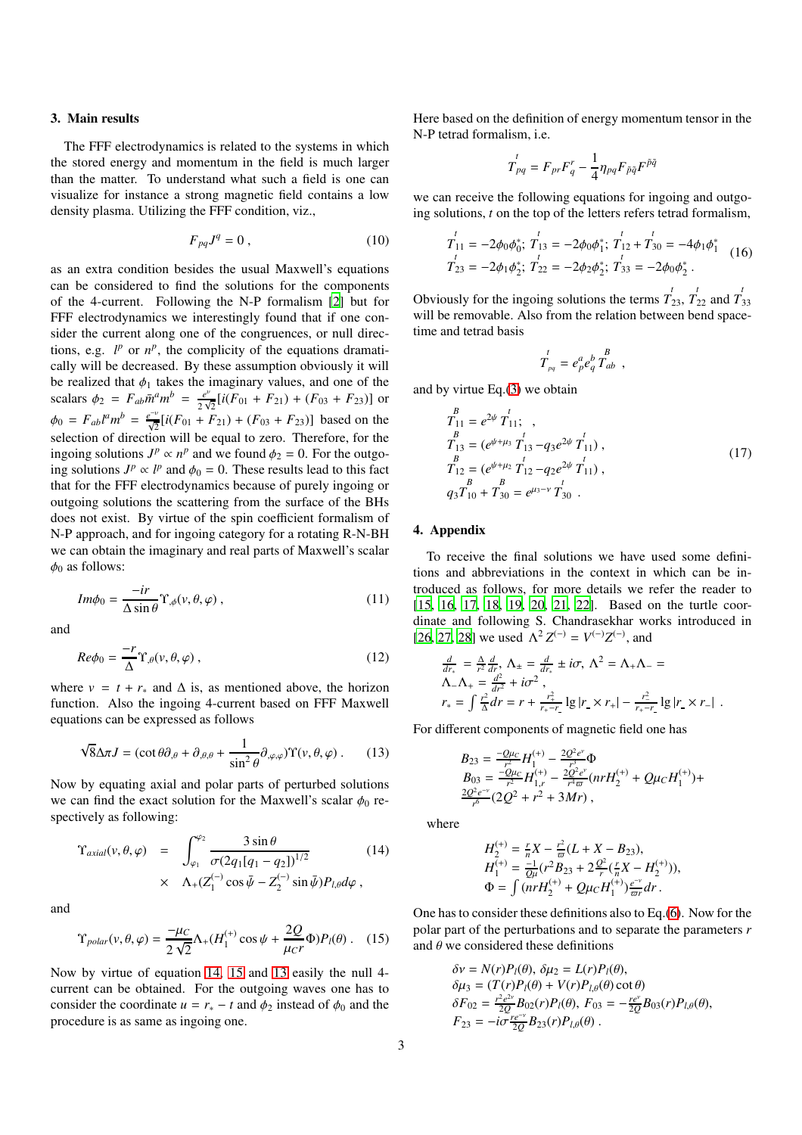# 3. Main results

The FFF electrodynamics is related to the systems in which the stored energy and momentum in the field is much larger than the matter. To understand what such a field is one can visualize for instance a strong magnetic field contains a low density plasma. Utilizing the FFF condition, viz.,

$$
F_{pq}J^q = 0 \t\t(10)
$$

as an extra condition besides the usual Maxwell's equations can be considered to find the solutions for the components of the 4-current. Following the N-P formalism [\[2](#page-3-1)] but for FFF electrodynamics we interestingly found that if one consider the current along one of the congruences, or null directions, e.g.  $l^p$  or  $n^p$ , the complicity of the equations dramatically will be decreased. By these assumption obviously it will be realized that  $\phi_1$  takes the imaginary values, and one of the scalars  $\phi_2 = F_{ab} \bar{m}^a m^b = \frac{e^v}{2 \lambda^b}$  $\frac{e^{v}}{2\sqrt{2}}[i(F_{01} + F_{21}) + (F_{03} + F_{23})]$  or  $\phi_0 = F_{ab}l^a m^b = \frac{e^{-v}}{\sqrt{2}} [i(F_{01} + F_{21}) + (F_{03} + F_{23})]$  based on the selection of direction will be equal to zero. Therefore, for the ingoing solutions  $J^p \propto n^p$  and we found  $\phi_2 = 0$ . For the outgoing solutions  $J^p \propto l^p$  and  $\phi_0 = 0$ . These results lead to this fact that for the FFF electrodynamics because of purely ingoing or outgoing solutions the scattering from the surface of the BHs does not exist. By virtue of the spin coefficient formalism of N-P approach, and for ingoing category for a rotating R-N-BH we can obtain the imaginary and real parts of Maxwell's scalar  $\phi_0$  as follows:

$$
Im\phi_0 = \frac{-ir}{\Delta \sin \theta} \Upsilon_{,\phi}(\nu,\theta,\varphi) ,
$$
 (11)

and

$$
Re\phi_0 = \frac{-r}{\Delta} \Upsilon_{,\theta}(v,\theta,\varphi) ,
$$
 (12)

where  $v = t + r_*$  and  $\Delta$  is, as mentioned above, the horizon function. Also the ingoing 4-current based on FFF Maxwell equations can be expressed as follows

<span id="page-2-2"></span>
$$
\sqrt{8}\Delta \pi J = (\cot \theta \partial_{,\theta} + \partial_{,\theta,\theta} + \frac{1}{\sin^2 \theta} \partial_{,\varphi,\varphi}) \Upsilon(\nu,\theta,\varphi) \,. \tag{13}
$$

Now by equating axial and polar parts of perturbed solutions we can find the exact solution for the Maxwell's scalar  $\phi_0$  respectively as following:

<span id="page-2-0"></span>
$$
\Upsilon_{axial}(\nu,\theta,\varphi) = \int_{\varphi_1}^{\varphi_2} \frac{3\sin\theta}{\sigma(2q_1[q_1-q_2])^{1/2}} \tag{14}
$$
\n
$$
\times \Lambda_+(Z_1^{(-)}\cos\bar{\psi} - Z_2^{(-)}\sin\bar{\psi})P_{l,\theta}d\varphi,
$$

and

<span id="page-2-1"></span>
$$
\Upsilon_{polar}(\nu,\theta,\varphi) = \frac{-\mu_C}{2\sqrt{2}} \Lambda_+(H_1^{(+)}\cos\psi + \frac{2Q}{\mu_C r}\Phi)P_l(\theta) \ . \tag{15}
$$

Now by virtue of equation [14,](#page-2-0) [15](#page-2-1) and [13](#page-2-2) easily the null 4 current can be obtained. For the outgoing waves one has to consider the coordinate  $u = r_* - t$  and  $\phi_2$  instead of  $\phi_0$  and the procedure is as same as ingoing one.

Here based on the definition of energy momentum tensor in the N-P tetrad formalism, i.e.

$$
T_{pq}^t = F_{pr}F_q^r - \frac{1}{4}\eta_{pq}F_{\tilde{p}\tilde{q}}F^{\tilde{p}\tilde{q}}
$$

we can receive the following equations for ingoing and outgoing solutions, *t* on the top of the letters refers tetrad formalism,

$$
T_{11}^{t} = -2\phi_0 \phi_0^*, \ T_{13}^{t} = -2\phi_0 \phi_1^*, \ T_{12}^{t} + T_{30}^{t} = -4\phi_1 \phi_1^*
$$
  
\n
$$
T_{23}^{t} = -2\phi_1 \phi_2^*, \ T_{22}^{t} = -2\phi_2 \phi_2^*, \ T_{33}^{t} = -2\phi_0 \phi_2^*
$$
 (16)

Obviously for the ingoing solutions the terms  $T'_{23}$ ,  $T'_{22}$  and  $T'_{33}$ will be removable. Also from the relation between bend spacetime and tetrad basis

$$
\boldsymbol{T}^t_{_{pq}} = \boldsymbol{e}^a_{p} \boldsymbol{e}^b_{q} \, \boldsymbol{T}^B_{ab} \;\; , \label{eq:3.1}
$$

and by virtue Eq.[\(3\)](#page-1-1) we obtain

$$
\begin{aligned}\n\overset{B}{T}_{11} &= e^{2\psi} \, \overset{t}{T}_{11}; \\
\overset{B}{T}_{13} &= (e^{\psi + \mu_3} \, \overset{t}{T}_{13} - q_3 e^{2\psi} \, \overset{t}{T}_{11}), \\
\overset{B}{T}_{12} &= (e^{\psi + \mu_2} \, \overset{t}{T}_{12} - q_2 e^{2\psi} \, \overset{t}{T}_{11}), \\
\overset{B}{q_3} \overset{B}{T}_{10} + \overset{B}{T}_{30} &= e^{\mu_3 - \nu} \, \overset{t}{T}_{30} \, .\n\end{aligned} \tag{17}
$$

## 4. Appendix

To receive the final solutions we have used some definitions and abbreviations in the context in which can be introduced as follows, for more details we refer the reader to [15, 16, 17, 18, 19, 20, 21, 22]. Based on the turtle coordinate and following S. Chandrasekhar works introduced in [\[26,](#page-3-17) [27,](#page-3-18) [28\]](#page-3-19) we used  $\Lambda^2 Z^{(-)} = V^{(-)}Z^{(-)}$ , and

$$
\frac{d}{dr_{*}} = \frac{\Delta}{r^{2}} \frac{d}{dr}, \Lambda_{\pm} = \frac{d}{dr_{*}} \pm i\sigma, \Lambda^{2} = \Lambda_{+}\Lambda_{-} =
$$
\n
$$
\Lambda_{-}\Lambda_{+} = \frac{d^{2}}{dr^{2}} + i\sigma^{2},
$$
\n
$$
r_{*} = \int \frac{r^{2}}{\Delta} dr = r + \frac{r_{+}^{2}}{r_{+} - r} \lg|r \times r_{+}| - \frac{r_{-}^{2}}{r_{+} - r} \lg|r \times r_{-}|.
$$

For different components of magnetic field one has

$$
B_{23} = \frac{-Q\mu_c}{r^2} H_1^{(+)} - \frac{2Q^2e^{\nu}}{r^3} \Phi
$$
  
\n
$$
B_{03} = \frac{-Q\mu_c}{r^2} H_{1,r}^{(+)} - \frac{2Q^2e^{\nu}}{r^4 \varpi} (nrH_2^{(+)} + Q\mu_c H_1^{(+)}) +
$$
  
\n
$$
\frac{2Q^2e^{-\nu}}{r^6} (2Q^2 + r^2 + 3Mr),
$$

where

$$
H_2^{(+)} = \frac{r}{n}X - \frac{r^2}{\omega}(L + X - B_{23}),
$$
  
\n
$$
H_1^{(+)} = \frac{-1}{Q\mu}(r^2B_{23} + 2\frac{Q^2}{r}(\frac{r}{n}X - H_2^{(+)})),
$$
  
\n
$$
\Phi = \int (nrH_2^{(+)} + Q\mu_C H_1^{(+)})\frac{e^{-\nu}}{\omega r}dr.
$$

One has to consider these definitions also to Eq.[\(6\)](#page-1-2). Now for the polar part of the perturbations and to separate the parameters *r* and  $\theta$  we considered these definitions

δν = *N*(*r*)*Pl*(θ), δµ<sup>2</sup> = *L*(*r*)*Pl*(θ),

$$
\delta v = N(r)P_l(\theta), \, \delta \mu_2 = L(r)P_l(\theta), \n\delta \mu_3 = (T(r)P_l(\theta) + V(r)P_{l,\theta}(\theta) \cot \theta) \n\delta F_{02} = \frac{r^2 e^{2v}}{2Q} B_{02}(r)P_l(\theta), \, F_{03} = -\frac{r e^{v}}{2Q} B_{03}(r)P_{l,\theta}(\theta), \nF_{23} = -i\sigma \frac{r e^{-v}}{2Q} B_{23}(r)P_{l,\theta}(\theta).
$$